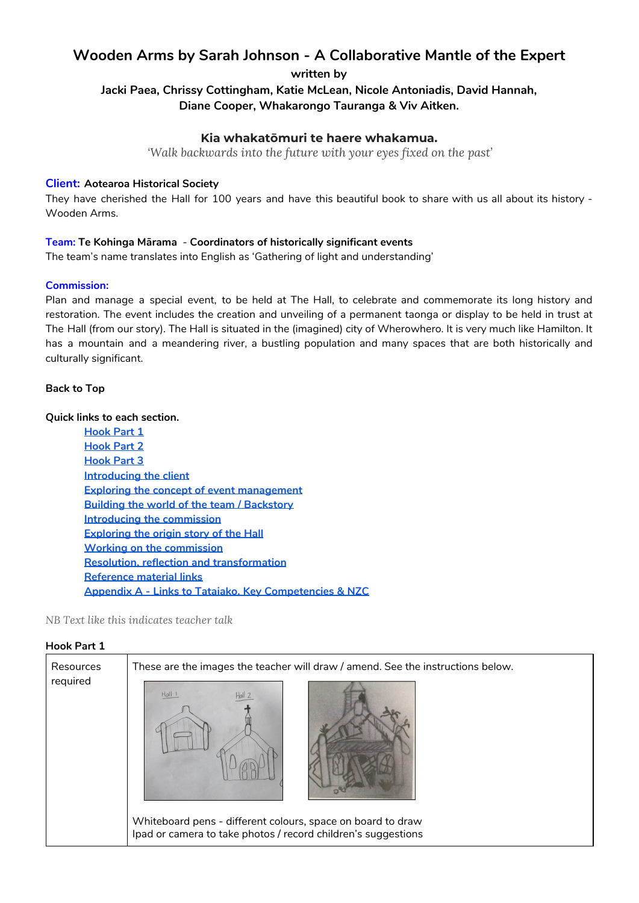# **Wooden Arms by Sarah Johnson - A Collaborative Mantle of the Expert**

## **written by**

## **Jacki Paea, Chrissy Cottingham, Katie McLean, Nicole Antoniadis, David Hannah, Diane Cooper, Whakarongo Tauranga & Viv Aitken.**

### **Kia whakatōmuri te haere whakamua.**

*'Walk backwards into the future with your eyes fixed on the past'*

#### **Client: Aotearoa Historical Society**

They have cherished the Hall for 100 years and have this beautiful book to share with us all about its history - Wooden Arms.

#### **Team: Te Kohinga Mārama** - **Coordinators of historically significant events**

The team's name translates into English as 'Gathering of light and understanding'

#### **Commission:**

Plan and manage a special event, to be held at The Hall, to celebrate and commemorate its long history and restoration. The event includes the creation and unveiling of a permanent taonga or display to be held in trust at The Hall (from our story). The Hall is situated in the (imagined) city of Wherowhero. It is very much like Hamilton. It has a mountain and a meandering river, a bustling population and many spaces that are both historically and culturally significant.

#### <span id="page-0-1"></span>**Back to Top**

#### **Quick links to each section.**

**[Hook](#page-0-0) Part 1 [Hook](#page-1-0) Part 2 [Hook](#page-2-0) Part 3 [Introducing](#page-3-0) the client Exploring the concept of event [management](#page-4-0) Building the world of the team / [Backstory](#page-4-1) Introducing the [commission](#page-6-0) [Exploring](#page-7-0) the origin story of the Hall Working on the [commission](#page-8-0) Resolution, reflection and [transformation](#page-11-0) [Reference](#page-12-0) material links Appendix A - Links to Tataiako, Key [Competencies](#page-13-0) & NZC**

#### *NB Text like this indicates teacher talk*

#### <span id="page-0-0"></span>**Hook Part 1**

| Resources | These are the images the teacher will draw / amend. See the instructions below. |
|-----------|---------------------------------------------------------------------------------|
| required  | Hall I<br>Whiteboard pens - different colours, space on board to draw           |
|           | Ipad or camera to take photos / record children's suggestions                   |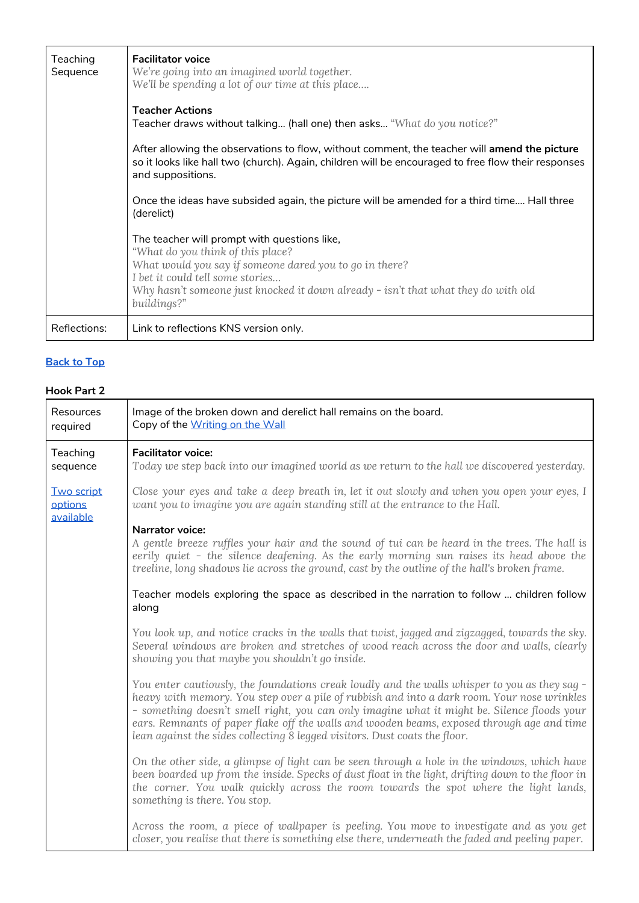| Teaching<br>Sequence | <b>Facilitator voice</b><br>We're going into an imagined world together.<br>We'll be spending a lot of our time at this place<br><b>Teacher Actions</b><br>Teacher draws without talking (hall one) then asks "What do you notice?"<br>After allowing the observations to flow, without comment, the teacher will amend the picture<br>so it looks like hall two (church). Again, children will be encouraged to free flow their responses<br>and suppositions.<br>Once the ideas have subsided again, the picture will be amended for a third time Hall three<br>(derelict)<br>The teacher will prompt with questions like,<br>"What do you think of this place?<br>What would you say if someone dared you to go in there?<br>I bet it could tell some stories<br>Why hasn't someone just knocked it down already - isn't that what they do with old<br>buildings?" |
|----------------------|-----------------------------------------------------------------------------------------------------------------------------------------------------------------------------------------------------------------------------------------------------------------------------------------------------------------------------------------------------------------------------------------------------------------------------------------------------------------------------------------------------------------------------------------------------------------------------------------------------------------------------------------------------------------------------------------------------------------------------------------------------------------------------------------------------------------------------------------------------------------------|
| Reflections:         | Link to reflections KNS version only.                                                                                                                                                                                                                                                                                                                                                                                                                                                                                                                                                                                                                                                                                                                                                                                                                                 |

## <span id="page-1-0"></span>**Hook Part 2**

| Resources<br>required                     | Image of the broken down and derelict hall remains on the board.<br>Copy of the Writing on the Wall                                                                                                                                                                                                                                                                                                                                                                     |
|-------------------------------------------|-------------------------------------------------------------------------------------------------------------------------------------------------------------------------------------------------------------------------------------------------------------------------------------------------------------------------------------------------------------------------------------------------------------------------------------------------------------------------|
| Teaching<br>sequence                      | <b>Facilitator voice:</b><br>Today we step back into our imagined world as we return to the hall we discovered yesterday.                                                                                                                                                                                                                                                                                                                                               |
| <b>Two script</b><br>options<br>available | Close your eyes and take a deep breath in, let it out slowly and when you open your eyes, I<br>want you to imagine you are again standing still at the entrance to the Hall.                                                                                                                                                                                                                                                                                            |
|                                           | <b>Narrator voice:</b><br>A gentle breeze ruffles your hair and the sound of tui can be heard in the trees. The hall is<br>eerily quiet - the silence deafening. As the early morning sun raises its head above the<br>treeline, long shadows lie across the ground, cast by the outline of the hall's broken frame.                                                                                                                                                    |
|                                           | Teacher models exploring the space as described in the narration to follow  children follow<br>along                                                                                                                                                                                                                                                                                                                                                                    |
|                                           | You look up, and notice cracks in the walls that twist, jagged and zigzagged, towards the sky.<br>Several windows are broken and stretches of wood reach across the door and walls, clearly<br>showing you that maybe you shouldn't go inside.                                                                                                                                                                                                                          |
|                                           | You enter cautiously, the foundations creak loudly and the walls whisper to you as they sag -<br>heavy with memory. You step over a pile of rubbish and into a dark room. Your nose wrinkles<br>- something doesn't smell right, you can only imagine what it might be. Silence floods your<br>ears. Remnants of paper flake off the walls and wooden beams, exposed through age and time<br>lean against the sides collecting 8 legged visitors. Dust coats the floor. |
|                                           | On the other side, a glimpse of light can be seen through a hole in the windows, which have<br>been boarded up from the inside. Specks of dust float in the light, drifting down to the floor in<br>the corner. You walk quickly across the room towards the spot where the light lands,<br>something is there. You stop.                                                                                                                                               |
|                                           | Across the room, a piece of wallpaper is peeling. You move to investigate and as you get<br>closer, you realise that there is something else there, underneath the faded and peeling paper.                                                                                                                                                                                                                                                                             |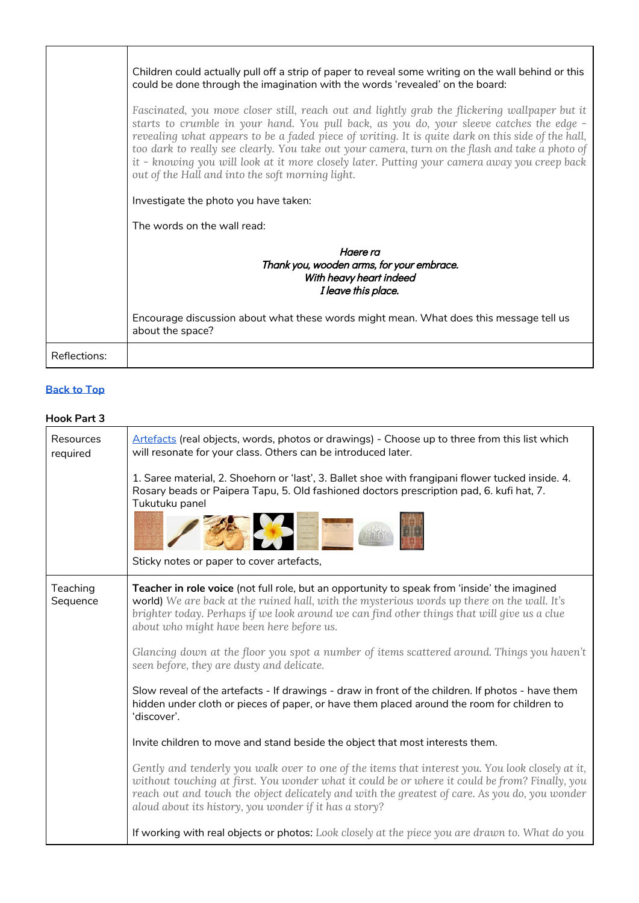|                     | Children could actually pull off a strip of paper to reveal some writing on the wall behind or this<br>could be done through the imagination with the words 'revealed' on the board:                                                                                                                                                                                                                                                                                                                                                                  |
|---------------------|-------------------------------------------------------------------------------------------------------------------------------------------------------------------------------------------------------------------------------------------------------------------------------------------------------------------------------------------------------------------------------------------------------------------------------------------------------------------------------------------------------------------------------------------------------|
|                     | Fascinated, you move closer still, reach out and lightly grab the flickering wallpaper but it<br>starts to crumble in your hand. You pull back, as you do, your sleeve catches the edge -<br>revealing what appears to be a faded piece of writing. It is quite dark on this side of the hall,<br>too dark to really see clearly. You take out your camera, turn on the flash and take a photo of<br>it - knowing you will look at it more closely later. Putting your camera away you creep back<br>out of the Hall and into the soft morning light. |
|                     | Investigate the photo you have taken:                                                                                                                                                                                                                                                                                                                                                                                                                                                                                                                 |
|                     | The words on the wall read:                                                                                                                                                                                                                                                                                                                                                                                                                                                                                                                           |
|                     | Haere ra<br>Thank you, wooden arms, for your embrace.<br>With heavy heart indeed<br>I leave this place.                                                                                                                                                                                                                                                                                                                                                                                                                                               |
|                     | Encourage discussion about what these words might mean. What does this message tell us<br>about the space?                                                                                                                                                                                                                                                                                                                                                                                                                                            |
| <b>Reflections:</b> |                                                                                                                                                                                                                                                                                                                                                                                                                                                                                                                                                       |

## <span id="page-2-0"></span>**Hook Part 3**

| Resources<br>required | Artefacts (real objects, words, photos or drawings) - Choose up to three from this list which<br>will resonate for your class. Others can be introduced later.                                                                                                                                                                                                 |
|-----------------------|----------------------------------------------------------------------------------------------------------------------------------------------------------------------------------------------------------------------------------------------------------------------------------------------------------------------------------------------------------------|
|                       | 1. Saree material, 2. Shoehorn or 'last', 3. Ballet shoe with frangipani flower tucked inside. 4.<br>Rosary beads or Paipera Tapu, 5. Old fashioned doctors prescription pad, 6. kufi hat, 7.<br>Tukutuku panel                                                                                                                                                |
|                       |                                                                                                                                                                                                                                                                                                                                                                |
|                       | Sticky notes or paper to cover artefacts,                                                                                                                                                                                                                                                                                                                      |
| Teaching<br>Sequence  | Teacher in role voice (not full role, but an opportunity to speak from 'inside' the imagined<br>world) We are back at the ruined hall, with the mysterious words up there on the wall. It's<br>brighter today. Perhaps if we look around we can find other things that will give us a clue<br>about who might have been here before us.                        |
|                       | Glancing down at the floor you spot a number of items scattered around. Things you haven't<br>seen before, they are dusty and delicate.                                                                                                                                                                                                                        |
|                       | Slow reveal of the artefacts - If drawings - draw in front of the children. If photos - have them<br>hidden under cloth or pieces of paper, or have them placed around the room for children to<br>'discover'.                                                                                                                                                 |
|                       | Invite children to move and stand beside the object that most interests them.                                                                                                                                                                                                                                                                                  |
|                       | Gently and tenderly you walk over to one of the items that interest you. You look closely at it,<br>without touching at first. You wonder what it could be or where it could be from? Finally, you<br>reach out and touch the object delicately and with the greatest of care. As you do, you wonder<br>aloud about its history, you wonder if it has a story? |
|                       | If working with real objects or photos: Look closely at the piece you are drawn to. What do you                                                                                                                                                                                                                                                                |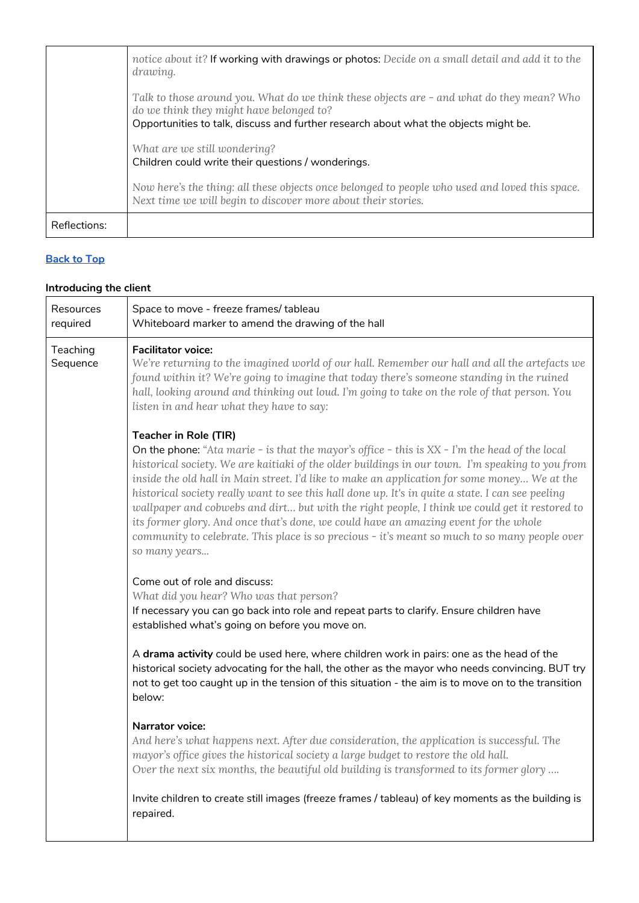|              | notice about it? If working with drawings or photos: Decide on a small detail and add it to the<br>drawing.                                                                                                                   |
|--------------|-------------------------------------------------------------------------------------------------------------------------------------------------------------------------------------------------------------------------------|
|              | Talk to those around you. What do we think these objects are - and what do they mean? Who<br>do we think they might have belonged to?<br>Opportunities to talk, discuss and further research about what the objects might be. |
|              | What are we still wondering?<br>Children could write their questions / wonderings.                                                                                                                                            |
|              | Now here's the thing: all these objects once belonged to people who used and loved this space.<br>Next time we will begin to discover more about their stories.                                                               |
| Reflections: |                                                                                                                                                                                                                               |

## <span id="page-3-0"></span>**Introducing the client**

| Resources<br>required | Space to move - freeze frames/ tableau<br>Whiteboard marker to amend the drawing of the hall                                                                                                                                                                                                                                                                                                                                                                                                                                                                                                                                                                                                                                                         |
|-----------------------|------------------------------------------------------------------------------------------------------------------------------------------------------------------------------------------------------------------------------------------------------------------------------------------------------------------------------------------------------------------------------------------------------------------------------------------------------------------------------------------------------------------------------------------------------------------------------------------------------------------------------------------------------------------------------------------------------------------------------------------------------|
| Teaching<br>Sequence  | <b>Facilitator voice:</b><br>We're returning to the imagined world of our hall. Remember our hall and all the artefacts we<br>found within it? We're going to imagine that today there's someone standing in the ruined<br>hall, looking around and thinking out loud. I'm going to take on the role of that person. You<br>listen in and hear what they have to say:                                                                                                                                                                                                                                                                                                                                                                                |
|                       | <b>Teacher in Role (TIR)</b><br>On the phone: "Ata marie - is that the mayor's office - this is $XX$ - I'm the head of the local<br>historical society. We are kaitiaki of the older buildings in our town. I'm speaking to you from<br>inside the old hall in Main street. I'd like to make an application for some money We at the<br>historical society really want to see this hall done up. It's in quite a state. I can see peeling<br>wallpaper and cobwebs and dirt but with the right people, I think we could get it restored to<br>its former glory. And once that's done, we could have an amazing event for the whole<br>community to celebrate. This place is so precious - it's meant so much to so many people over<br>so many years |
|                       | Come out of role and discuss:<br>What did you hear? Who was that person?<br>If necessary you can go back into role and repeat parts to clarify. Ensure children have<br>established what's going on before you move on.                                                                                                                                                                                                                                                                                                                                                                                                                                                                                                                              |
|                       | A drama activity could be used here, where children work in pairs: one as the head of the<br>historical society advocating for the hall, the other as the mayor who needs convincing. BUT try<br>not to get too caught up in the tension of this situation - the aim is to move on to the transition<br>below:                                                                                                                                                                                                                                                                                                                                                                                                                                       |
|                       | <b>Narrator voice:</b><br>And here's what happens next. After due consideration, the application is successful. The<br>mayor's office gives the historical society a large budget to restore the old hall.<br>Over the next six months, the beautiful old building is transformed to its former glory                                                                                                                                                                                                                                                                                                                                                                                                                                                |
|                       | Invite children to create still images (freeze frames / tableau) of key moments as the building is<br>repaired.                                                                                                                                                                                                                                                                                                                                                                                                                                                                                                                                                                                                                                      |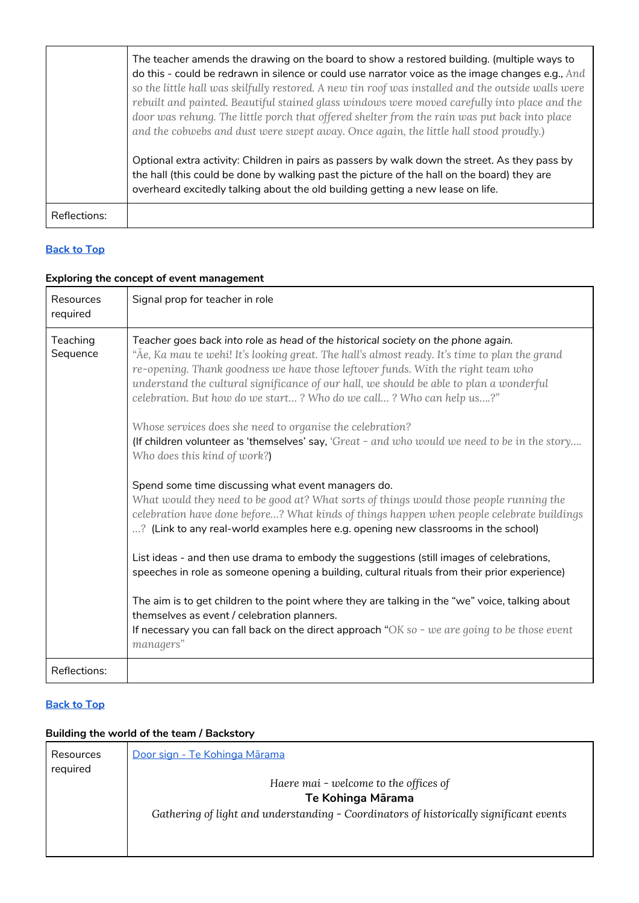|              | The teacher amends the drawing on the board to show a restored building. (multiple ways to<br>do this - could be redrawn in silence or could use narrator voice as the image changes e.g., And<br>so the little hall was skilfully restored. A new tin roof was installed and the outside walls were<br>rebuilt and painted. Beautiful stained glass windows were moved carefully into place and the<br>door was rehung. The little porch that offered shelter from the rain was put back into place<br>and the cobwebs and dust were swept away. Once again, the little hall stood proudly.)<br>Optional extra activity: Children in pairs as passers by walk down the street. As they pass by<br>the hall (this could be done by walking past the picture of the hall on the board) they are<br>overheard excitedly talking about the old building getting a new lease on life. |
|--------------|-----------------------------------------------------------------------------------------------------------------------------------------------------------------------------------------------------------------------------------------------------------------------------------------------------------------------------------------------------------------------------------------------------------------------------------------------------------------------------------------------------------------------------------------------------------------------------------------------------------------------------------------------------------------------------------------------------------------------------------------------------------------------------------------------------------------------------------------------------------------------------------|
| Reflections: |                                                                                                                                                                                                                                                                                                                                                                                                                                                                                                                                                                                                                                                                                                                                                                                                                                                                                   |

## <span id="page-4-0"></span>**Exploring the concept of event management**

| <b>Resources</b><br>required | Signal prop for teacher in role                                                                                                                                                                                                                                                                                                                                                                                                                                                                                                                                                                                                                                                                                                                                                                                                                                                                                                                                                                                                                                                                                                                                                                                                                                                                                                                                                                                               |
|------------------------------|-------------------------------------------------------------------------------------------------------------------------------------------------------------------------------------------------------------------------------------------------------------------------------------------------------------------------------------------------------------------------------------------------------------------------------------------------------------------------------------------------------------------------------------------------------------------------------------------------------------------------------------------------------------------------------------------------------------------------------------------------------------------------------------------------------------------------------------------------------------------------------------------------------------------------------------------------------------------------------------------------------------------------------------------------------------------------------------------------------------------------------------------------------------------------------------------------------------------------------------------------------------------------------------------------------------------------------------------------------------------------------------------------------------------------------|
| Teaching<br>Sequence         | Teacher goes back into role as head of the historical society on the phone again.<br>"Āe, Ka mau te wehi! It's looking great. The hall's almost ready. It's time to plan the grand<br>re-opening. Thank goodness we have those leftover funds. With the right team who<br>understand the cultural significance of our hall, we should be able to plan a wonderful<br>celebration. But how do we start? Who do we call? Who can help us?"<br>Whose services does she need to organise the celebration?<br>(If children volunteer as 'themselves' say, 'Great - and who would we need to be in the story<br>Who does this kind of work?)<br>Spend some time discussing what event managers do.<br>What would they need to be good at? What sorts of things would those people running the<br>celebration have done before? What kinds of things happen when people celebrate buildings<br>? (Link to any real-world examples here e.g. opening new classrooms in the school)<br>List ideas - and then use drama to embody the suggestions (still images of celebrations,<br>speeches in role as someone opening a building, cultural rituals from their prior experience)<br>The aim is to get children to the point where they are talking in the "we" voice, talking about<br>themselves as event / celebration planners.<br>If necessary you can fall back on the direct approach " $OK$ so - we are going to be those event |
| Reflections:                 | managers"                                                                                                                                                                                                                                                                                                                                                                                                                                                                                                                                                                                                                                                                                                                                                                                                                                                                                                                                                                                                                                                                                                                                                                                                                                                                                                                                                                                                                     |

## **[Back](#page-0-1) to Top**

## <span id="page-4-1"></span>**Building the world of the team / Backstory**

| Resources<br>required | Door sign - Te Kohinga Mārama                                                          |
|-----------------------|----------------------------------------------------------------------------------------|
|                       | Haere mai - welcome to the offices of                                                  |
|                       | Te Kohinga Mārama                                                                      |
|                       | Gathering of light and understanding - Coordinators of historically significant events |
|                       |                                                                                        |
|                       |                                                                                        |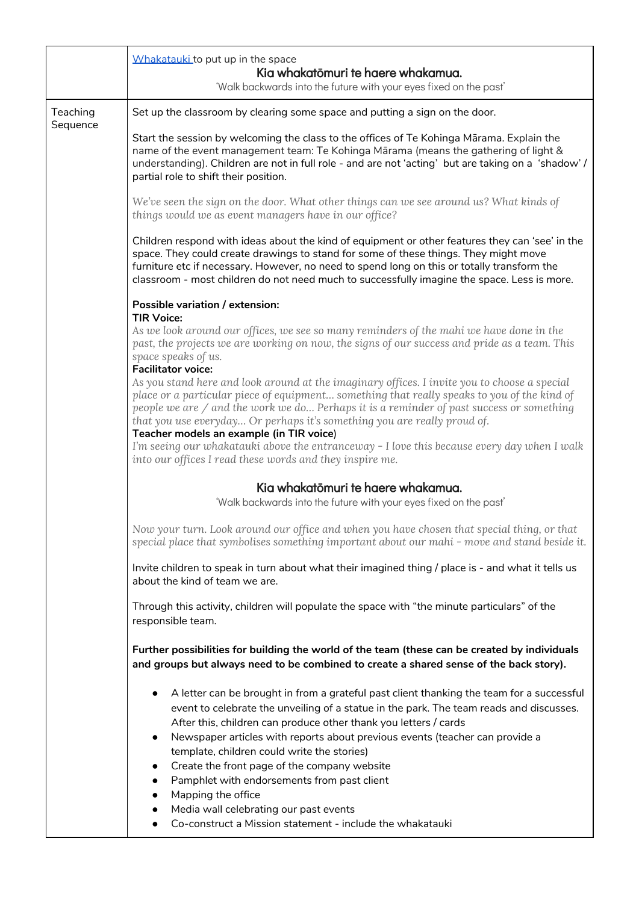|          | Whakatauki to put up in the space<br>Kia whakatōmuri te haere whakamua.<br>'Walk backwards into the future with your eyes fixed on the past'                                                                                                                                                                                                                                                                                                                                                                                                                                                                                                  |
|----------|-----------------------------------------------------------------------------------------------------------------------------------------------------------------------------------------------------------------------------------------------------------------------------------------------------------------------------------------------------------------------------------------------------------------------------------------------------------------------------------------------------------------------------------------------------------------------------------------------------------------------------------------------|
| Teaching | Set up the classroom by clearing some space and putting a sign on the door.                                                                                                                                                                                                                                                                                                                                                                                                                                                                                                                                                                   |
| Sequence | Start the session by welcoming the class to the offices of Te Kohinga Mārama. Explain the<br>name of the event management team: Te Kohinga Mārama (means the gathering of light &<br>understanding). Children are not in full role - and are not 'acting' but are taking on a 'shadow' /<br>partial role to shift their position.                                                                                                                                                                                                                                                                                                             |
|          | We've seen the sign on the door. What other things can we see around us? What kinds of<br>things would we as event managers have in our office?                                                                                                                                                                                                                                                                                                                                                                                                                                                                                               |
|          | Children respond with ideas about the kind of equipment or other features they can 'see' in the<br>space. They could create drawings to stand for some of these things. They might move<br>furniture etc if necessary. However, no need to spend long on this or totally transform the<br>classroom - most children do not need much to successfully imagine the space. Less is more.                                                                                                                                                                                                                                                         |
|          | Possible variation / extension:                                                                                                                                                                                                                                                                                                                                                                                                                                                                                                                                                                                                               |
|          | <b>TIR Voice:</b><br>As we look around our offices, we see so many reminders of the mahi we have done in the<br>past, the projects we are working on now, the signs of our success and pride as a team. This<br>space speaks of us.<br><b>Facilitator voice:</b>                                                                                                                                                                                                                                                                                                                                                                              |
|          | As you stand here and look around at the imaginary offices. I invite you to choose a special<br>place or a particular piece of equipment something that really speaks to you of the kind of<br>people we are / and the work we do Perhaps it is a reminder of past success or something<br>that you use everyday Or perhaps it's something you are really proud of.<br>Teacher models an example (in TIR voice)<br>I'm seeing our whakatauki above the entranceway - I love this because every day when I walk                                                                                                                                |
|          | into our offices I read these words and they inspire me.                                                                                                                                                                                                                                                                                                                                                                                                                                                                                                                                                                                      |
|          | Kia whakatōmuri te haere whakamua.                                                                                                                                                                                                                                                                                                                                                                                                                                                                                                                                                                                                            |
|          | 'Walk backwards into the future with your eyes fixed on the past'                                                                                                                                                                                                                                                                                                                                                                                                                                                                                                                                                                             |
|          | Now your turn. Look around our office and when you have chosen that special thing, or that<br>special place that symbolises something important about our mahi - move and stand beside it.                                                                                                                                                                                                                                                                                                                                                                                                                                                    |
|          | Invite children to speak in turn about what their imagined thing / place is - and what it tells us<br>about the kind of team we are.                                                                                                                                                                                                                                                                                                                                                                                                                                                                                                          |
|          | Through this activity, children will populate the space with "the minute particulars" of the<br>responsible team.                                                                                                                                                                                                                                                                                                                                                                                                                                                                                                                             |
|          | Further possibilities for building the world of the team (these can be created by individuals<br>and groups but always need to be combined to create a shared sense of the back story).                                                                                                                                                                                                                                                                                                                                                                                                                                                       |
|          | A letter can be brought in from a grateful past client thanking the team for a successful<br>event to celebrate the unveiling of a statue in the park. The team reads and discusses.<br>After this, children can produce other thank you letters / cards<br>Newspaper articles with reports about previous events (teacher can provide a<br>$\bullet$<br>template, children could write the stories)<br>Create the front page of the company website<br>$\bullet$<br>Pamphlet with endorsements from past client<br>Mapping the office<br>Media wall celebrating our past events<br>Co-construct a Mission statement - include the whakatauki |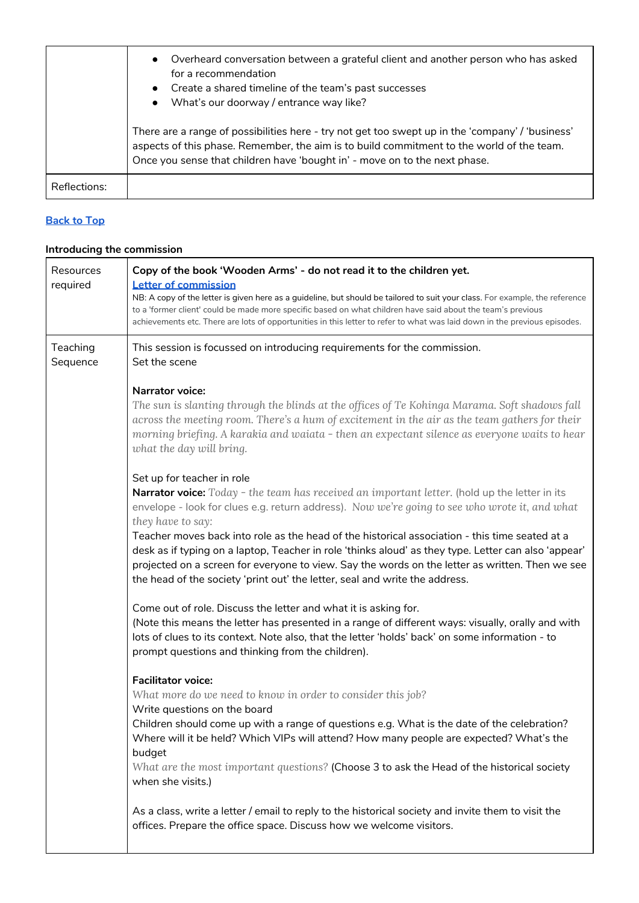|              | Overheard conversation between a grateful client and another person who has asked<br>$\bullet$<br>for a recommendation<br>• Create a shared timeline of the team's past successes<br>What's our doorway / entrance way like?                                                |
|--------------|-----------------------------------------------------------------------------------------------------------------------------------------------------------------------------------------------------------------------------------------------------------------------------|
|              | There are a range of possibilities here - try not get too swept up in the 'company' / 'business'<br>aspects of this phase. Remember, the aim is to build commitment to the world of the team.<br>Once you sense that children have 'bought in' - move on to the next phase. |
| Reflections: |                                                                                                                                                                                                                                                                             |

## <span id="page-6-0"></span>**Introducing the commission**

| Resources<br>required | Copy of the book 'Wooden Arms' - do not read it to the children yet.<br><b>Letter of commission</b>                                                                                                                                                                                                                                                                                                                                                                                                                                                                                                                                                  |  |  |
|-----------------------|------------------------------------------------------------------------------------------------------------------------------------------------------------------------------------------------------------------------------------------------------------------------------------------------------------------------------------------------------------------------------------------------------------------------------------------------------------------------------------------------------------------------------------------------------------------------------------------------------------------------------------------------------|--|--|
|                       | NB: A copy of the letter is given here as a guideline, but should be tailored to suit your class. For example, the reference<br>to a 'former client' could be made more specific based on what children have said about the team's previous<br>achievements etc. There are lots of opportunities in this letter to refer to what was laid down in the previous episodes.                                                                                                                                                                                                                                                                             |  |  |
| Teaching<br>Sequence  | This session is focussed on introducing requirements for the commission.<br>Set the scene                                                                                                                                                                                                                                                                                                                                                                                                                                                                                                                                                            |  |  |
|                       | <b>Narrator voice:</b><br>The sun is slanting through the blinds at the offices of Te Kohinga Marama. Soft shadows fall<br>across the meeting room. There's a hum of excitement in the air as the team gathers for their<br>morning briefing. A karakia and waiata - then an expectant silence as everyone waits to hear<br>what the day will bring.                                                                                                                                                                                                                                                                                                 |  |  |
|                       | Set up for teacher in role<br><b>Narrator voice:</b> Today - the team has received an important letter. (hold up the letter in its<br>envelope - look for clues e.g. return address). Now we're going to see who wrote it, and what<br>they have to say:<br>Teacher moves back into role as the head of the historical association - this time seated at a<br>desk as if typing on a laptop, Teacher in role 'thinks aloud' as they type. Letter can also 'appear'<br>projected on a screen for everyone to view. Say the words on the letter as written. Then we see<br>the head of the society 'print out' the letter, seal and write the address. |  |  |
|                       | Come out of role. Discuss the letter and what it is asking for.<br>(Note this means the letter has presented in a range of different ways: visually, orally and with<br>lots of clues to its context. Note also, that the letter 'holds' back' on some information - to<br>prompt questions and thinking from the children).                                                                                                                                                                                                                                                                                                                         |  |  |
|                       | <b>Facilitator voice:</b><br>What more do we need to know in order to consider this job?<br>Write questions on the board<br>Children should come up with a range of questions e.g. What is the date of the celebration?<br>Where will it be held? Which VIPs will attend? How many people are expected? What's the<br>budget<br>What are the most important questions? (Choose 3 to ask the Head of the historical society<br>when she visits.)                                                                                                                                                                                                      |  |  |
|                       | As a class, write a letter / email to reply to the historical society and invite them to visit the<br>offices. Prepare the office space. Discuss how we welcome visitors.                                                                                                                                                                                                                                                                                                                                                                                                                                                                            |  |  |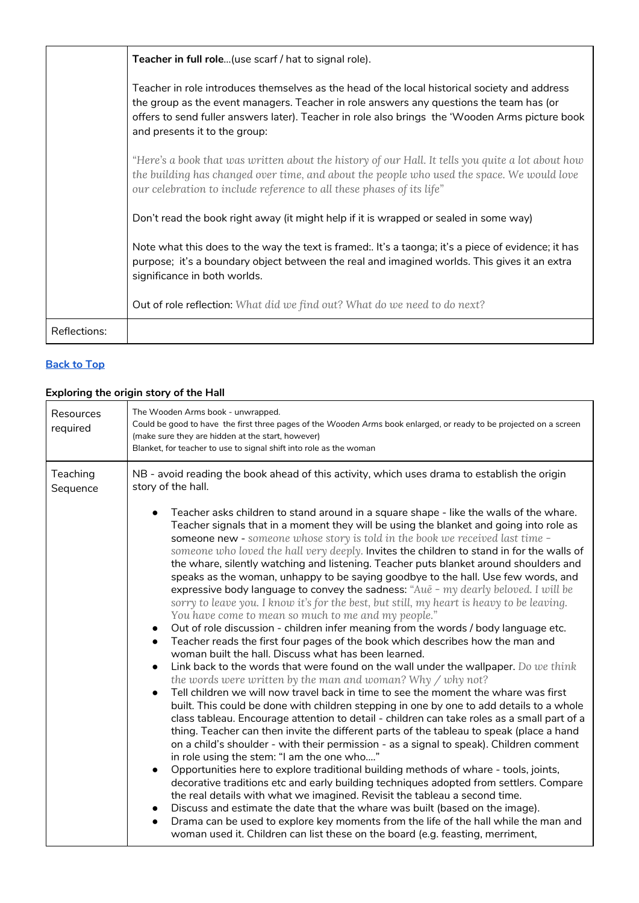|              | Teacher in full role (use scarf / hat to signal role).                                                                                                                                                                                                                                                                       |
|--------------|------------------------------------------------------------------------------------------------------------------------------------------------------------------------------------------------------------------------------------------------------------------------------------------------------------------------------|
|              | Teacher in role introduces themselves as the head of the local historical society and address<br>the group as the event managers. Teacher in role answers any questions the team has (or<br>offers to send fuller answers later). Teacher in role also brings the 'Wooden Arms picture book<br>and presents it to the group: |
|              | "Here's a book that was written about the history of our Hall. It tells you quite a lot about how<br>the building has changed over time, and about the people who used the space. We would love<br>our celebration to include reference to all these phases of its life"                                                     |
|              | Don't read the book right away (it might help if it is wrapped or sealed in some way)                                                                                                                                                                                                                                        |
|              | Note what this does to the way the text is framed:. It's a taonga; it's a piece of evidence; it has<br>purpose; it's a boundary object between the real and imagined worlds. This gives it an extra<br>significance in both worlds.                                                                                          |
|              | Out of role reflection: What did we find out? What do we need to do next?                                                                                                                                                                                                                                                    |
| Reflections: |                                                                                                                                                                                                                                                                                                                              |

## <span id="page-7-0"></span>**Exploring the origin story of the Hall**

| Resources<br>required | The Wooden Arms book - unwrapped.<br>Could be good to have the first three pages of the Wooden Arms book enlarged, or ready to be projected on a screen<br>(make sure they are hidden at the start, however)<br>Blanket, for teacher to use to signal shift into role as the woman                                                                                                                                                                                                                                                                                                                                                                                                                                                                                                                                                                                                                                                                                                                                                                                                                                                                                                                                                                                                                                                                                                                                                                                                                                                                                                                                                                                                                                                                                                                                                                                                                                                                                                                                                                                                                                                                                                                                                                        |  |  |
|-----------------------|-----------------------------------------------------------------------------------------------------------------------------------------------------------------------------------------------------------------------------------------------------------------------------------------------------------------------------------------------------------------------------------------------------------------------------------------------------------------------------------------------------------------------------------------------------------------------------------------------------------------------------------------------------------------------------------------------------------------------------------------------------------------------------------------------------------------------------------------------------------------------------------------------------------------------------------------------------------------------------------------------------------------------------------------------------------------------------------------------------------------------------------------------------------------------------------------------------------------------------------------------------------------------------------------------------------------------------------------------------------------------------------------------------------------------------------------------------------------------------------------------------------------------------------------------------------------------------------------------------------------------------------------------------------------------------------------------------------------------------------------------------------------------------------------------------------------------------------------------------------------------------------------------------------------------------------------------------------------------------------------------------------------------------------------------------------------------------------------------------------------------------------------------------------------------------------------------------------------------------------------------------------|--|--|
| Teaching<br>Sequence  | NB - avoid reading the book ahead of this activity, which uses drama to establish the origin<br>story of the hall.                                                                                                                                                                                                                                                                                                                                                                                                                                                                                                                                                                                                                                                                                                                                                                                                                                                                                                                                                                                                                                                                                                                                                                                                                                                                                                                                                                                                                                                                                                                                                                                                                                                                                                                                                                                                                                                                                                                                                                                                                                                                                                                                        |  |  |
|                       | Teacher asks children to stand around in a square shape - like the walls of the whare.<br>Teacher signals that in a moment they will be using the blanket and going into role as<br>someone new - someone whose story is told in the book we received last time -<br>someone who loved the hall very deeply. Invites the children to stand in for the walls of<br>the whare, silently watching and listening. Teacher puts blanket around shoulders and<br>speaks as the woman, unhappy to be saying goodbye to the hall. Use few words, and<br>expressive body language to convey the sadness: "Aue - my dearly beloved. I will be<br>sorry to leave you. I know it's for the best, but still, my heart is heavy to be leaving.<br>You have come to mean so much to me and my people."<br>Out of role discussion - children infer meaning from the words / body language etc.<br>Teacher reads the first four pages of the book which describes how the man and<br>$\bullet$<br>woman built the hall. Discuss what has been learned.<br>Link back to the words that were found on the wall under the wallpaper. Do we think<br>the words were written by the man and woman? Why / why not?<br>Tell children we will now travel back in time to see the moment the whare was first<br>built. This could be done with children stepping in one by one to add details to a whole<br>class tableau. Encourage attention to detail - children can take roles as a small part of a<br>thing. Teacher can then invite the different parts of the tableau to speak (place a hand<br>on a child's shoulder - with their permission - as a signal to speak). Children comment<br>in role using the stem: "I am the one who"<br>Opportunities here to explore traditional building methods of whare - tools, joints,<br>decorative traditions etc and early building techniques adopted from settlers. Compare<br>the real details with what we imagined. Revisit the tableau a second time.<br>Discuss and estimate the date that the whare was built (based on the image).<br>Drama can be used to explore key moments from the life of the hall while the man and<br>$\bullet$<br>woman used it. Children can list these on the board (e.g. feasting, merriment, |  |  |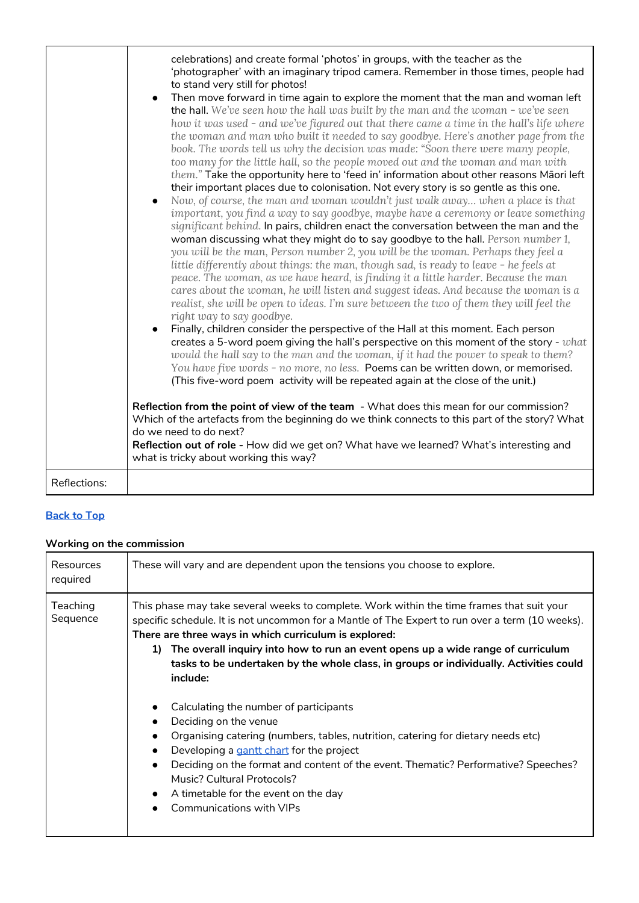|              | celebrations) and create formal 'photos' in groups, with the teacher as the<br>'photographer' with an imaginary tripod camera. Remember in those times, people had<br>to stand very still for photos!<br>Then move forward in time again to explore the moment that the man and woman left<br>the hall. We've seen how the hall was built by the man and the woman - we've seen<br>how it was used - and we've figured out that there came a time in the hall's life where<br>the woman and man who built it needed to say goodbye. Here's another page from the<br>book. The words tell us why the decision was made: "Soon there were many people,<br>too many for the little hall, so the people moved out and the woman and man with<br>them." Take the opportunity here to 'feed in' information about other reasons Māori left<br>their important places due to colonisation. Not every story is so gentle as this one.<br>Now, of course, the man and woman wouldn't just walk away when a place is that<br>important, you find a way to say goodbye, maybe have a ceremony or leave something<br>significant behind. In pairs, children enact the conversation between the man and the<br>woman discussing what they might do to say goodbye to the hall. Person number 1,<br>you will be the man, Person number 2, you will be the woman. Perhaps they feel a<br>little differently about things: the man, though sad, is ready to leave - he feels at<br>peace. The woman, as we have heard, is finding it a little harder. Because the man<br>cares about the woman, he will listen and suggest ideas. And because the woman is a<br>realist, she will be open to ideas. I'm sure between the two of them they will feel the<br>right way to say goodbye.<br>Finally, children consider the perspective of the Hall at this moment. Each person<br>creates a 5-word poem giving the hall's perspective on this moment of the story - what<br>would the hall say to the man and the woman, if it had the power to speak to them?<br>You have five words - no more, no less. Poems can be written down, or memorised.<br>(This five-word poem activity will be repeated again at the close of the unit.)<br>Reflection from the point of view of the team - What does this mean for our commission?<br>Which of the artefacts from the beginning do we think connects to this part of the story? What<br>do we need to do next?<br>Reflection out of role - How did we get on? What have we learned? What's interesting and<br>what is tricky about working this way? |
|--------------|--------------------------------------------------------------------------------------------------------------------------------------------------------------------------------------------------------------------------------------------------------------------------------------------------------------------------------------------------------------------------------------------------------------------------------------------------------------------------------------------------------------------------------------------------------------------------------------------------------------------------------------------------------------------------------------------------------------------------------------------------------------------------------------------------------------------------------------------------------------------------------------------------------------------------------------------------------------------------------------------------------------------------------------------------------------------------------------------------------------------------------------------------------------------------------------------------------------------------------------------------------------------------------------------------------------------------------------------------------------------------------------------------------------------------------------------------------------------------------------------------------------------------------------------------------------------------------------------------------------------------------------------------------------------------------------------------------------------------------------------------------------------------------------------------------------------------------------------------------------------------------------------------------------------------------------------------------------------------------------------------------------------------------------------------------------------------------------------------------------------------------------------------------------------------------------------------------------------------------------------------------------------------------------------------------------------------------------------------------------------------------------------------------------------------------------------------------------------------------------------------------------------------------------------------------------------------------|
| Reflections: |                                                                                                                                                                                                                                                                                                                                                                                                                                                                                                                                                                                                                                                                                                                                                                                                                                                                                                                                                                                                                                                                                                                                                                                                                                                                                                                                                                                                                                                                                                                                                                                                                                                                                                                                                                                                                                                                                                                                                                                                                                                                                                                                                                                                                                                                                                                                                                                                                                                                                                                                                                                |

# <span id="page-8-0"></span>**Working on the commission**

| <b>Resources</b><br>required | These will vary and are dependent upon the tensions you choose to explore.                                                                                                                                                                                                                                                                                                                                                                                                                                                                                                                                                                                                                                                                                                                                                                                                              |
|------------------------------|-----------------------------------------------------------------------------------------------------------------------------------------------------------------------------------------------------------------------------------------------------------------------------------------------------------------------------------------------------------------------------------------------------------------------------------------------------------------------------------------------------------------------------------------------------------------------------------------------------------------------------------------------------------------------------------------------------------------------------------------------------------------------------------------------------------------------------------------------------------------------------------------|
| Teaching<br>Sequence         | This phase may take several weeks to complete. Work within the time frames that suit your<br>specific schedule. It is not uncommon for a Mantle of The Expert to run over a term (10 weeks).<br>There are three ways in which curriculum is explored:<br>The overall inquiry into how to run an event opens up a wide range of curriculum<br>1)<br>tasks to be undertaken by the whole class, in groups or individually. Activities could<br>include:<br>Calculating the number of participants<br>Deciding on the venue<br>Organising catering (numbers, tables, nutrition, catering for dietary needs etc)<br>$\bullet$<br>Developing a gantt chart for the project<br>$\bullet$<br>Deciding on the format and content of the event. Thematic? Performative? Speeches?<br>Music? Cultural Protocols?<br>A timetable for the event on the day<br>$\bullet$<br>Communications with VIPs |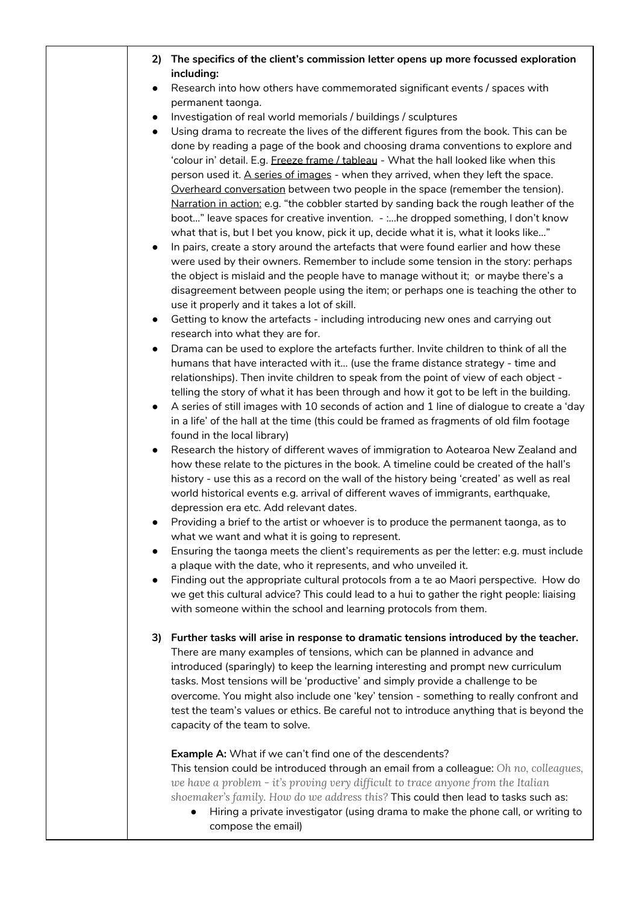| 2)<br>$\bullet$             | The specifics of the client's commission letter opens up more focussed exploration<br>including:<br>Research into how others have commemorated significant events / spaces with                                                                                                                                                                                                                                                                                                                                                                                                                                                                                                                                                                                                                                                                                                                                                                                                                                                                                                                                                                                                                                                                                                                                                                                                                                                                                                                                                               |
|-----------------------------|-----------------------------------------------------------------------------------------------------------------------------------------------------------------------------------------------------------------------------------------------------------------------------------------------------------------------------------------------------------------------------------------------------------------------------------------------------------------------------------------------------------------------------------------------------------------------------------------------------------------------------------------------------------------------------------------------------------------------------------------------------------------------------------------------------------------------------------------------------------------------------------------------------------------------------------------------------------------------------------------------------------------------------------------------------------------------------------------------------------------------------------------------------------------------------------------------------------------------------------------------------------------------------------------------------------------------------------------------------------------------------------------------------------------------------------------------------------------------------------------------------------------------------------------------|
|                             | permanent taonga.<br>Investigation of real world memorials / buildings / sculptures                                                                                                                                                                                                                                                                                                                                                                                                                                                                                                                                                                                                                                                                                                                                                                                                                                                                                                                                                                                                                                                                                                                                                                                                                                                                                                                                                                                                                                                           |
| $\bullet$<br>$\bullet$      | Using drama to recreate the lives of the different figures from the book. This can be                                                                                                                                                                                                                                                                                                                                                                                                                                                                                                                                                                                                                                                                                                                                                                                                                                                                                                                                                                                                                                                                                                                                                                                                                                                                                                                                                                                                                                                         |
| $\bullet$                   | done by reading a page of the book and choosing drama conventions to explore and<br>'colour in' detail. E.g. Freeze frame / tableau - What the hall looked like when this<br>person used it. A series of images - when they arrived, when they left the space.<br>Overheard conversation between two people in the space (remember the tension).<br>Narration in action: e.g. "the cobbler started by sanding back the rough leather of the<br>boot" leave spaces for creative invention. - :he dropped something, I don't know<br>what that is, but I bet you know, pick it up, decide what it is, what it looks like"<br>In pairs, create a story around the artefacts that were found earlier and how these<br>were used by their owners. Remember to include some tension in the story: perhaps<br>the object is mislaid and the people have to manage without it; or maybe there's a<br>disagreement between people using the item; or perhaps one is teaching the other to                                                                                                                                                                                                                                                                                                                                                                                                                                                                                                                                                              |
|                             | use it properly and it takes a lot of skill.                                                                                                                                                                                                                                                                                                                                                                                                                                                                                                                                                                                                                                                                                                                                                                                                                                                                                                                                                                                                                                                                                                                                                                                                                                                                                                                                                                                                                                                                                                  |
| $\bullet$                   | Getting to know the artefacts - including introducing new ones and carrying out                                                                                                                                                                                                                                                                                                                                                                                                                                                                                                                                                                                                                                                                                                                                                                                                                                                                                                                                                                                                                                                                                                                                                                                                                                                                                                                                                                                                                                                               |
| ٠<br>$\bullet$<br>$\bullet$ | research into what they are for.<br>Drama can be used to explore the artefacts further. Invite children to think of all the<br>humans that have interacted with it (use the frame distance strategy - time and<br>relationships). Then invite children to speak from the point of view of each object -<br>telling the story of what it has been through and how it got to be left in the building.<br>A series of still images with 10 seconds of action and 1 line of dialogue to create a 'day<br>in a life' of the hall at the time (this could be framed as fragments of old film footage<br>found in the local library)<br>Research the history of different waves of immigration to Aotearoa New Zealand and<br>how these relate to the pictures in the book. A timeline could be created of the hall's<br>history - use this as a record on the wall of the history being 'created' as well as real<br>world historical events e.g. arrival of different waves of immigrants, earthquake,<br>depression era etc. Add relevant dates.<br>Providing a brief to the artist or whoever is to produce the permanent taonga, as to<br>what we want and what it is going to represent.<br>Ensuring the taonga meets the client's requirements as per the letter: e.g. must include<br>a plaque with the date, who it represents, and who unveiled it.<br>Finding out the appropriate cultural protocols from a te ao Maori perspective. How do<br>we get this cultural advice? This could lead to a hui to gather the right people: liaising |
|                             | with someone within the school and learning protocols from them.                                                                                                                                                                                                                                                                                                                                                                                                                                                                                                                                                                                                                                                                                                                                                                                                                                                                                                                                                                                                                                                                                                                                                                                                                                                                                                                                                                                                                                                                              |
|                             | 3) Further tasks will arise in response to dramatic tensions introduced by the teacher.<br>There are many examples of tensions, which can be planned in advance and<br>introduced (sparingly) to keep the learning interesting and prompt new curriculum<br>tasks. Most tensions will be 'productive' and simply provide a challenge to be<br>overcome. You might also include one 'key' tension - something to really confront and<br>test the team's values or ethics. Be careful not to introduce anything that is beyond the<br>capacity of the team to solve.                                                                                                                                                                                                                                                                                                                                                                                                                                                                                                                                                                                                                                                                                                                                                                                                                                                                                                                                                                            |
|                             | Example A: What if we can't find one of the descendents?<br>This tension could be introduced through an email from a colleague: Oh no, colleagues,<br>we have a problem - it's proving very difficult to trace anyone from the Italian<br>shoemaker's family. How do we address this? This could then lead to tasks such as:<br>Hiring a private investigator (using drama to make the phone call, or writing to<br>compose the email)                                                                                                                                                                                                                                                                                                                                                                                                                                                                                                                                                                                                                                                                                                                                                                                                                                                                                                                                                                                                                                                                                                        |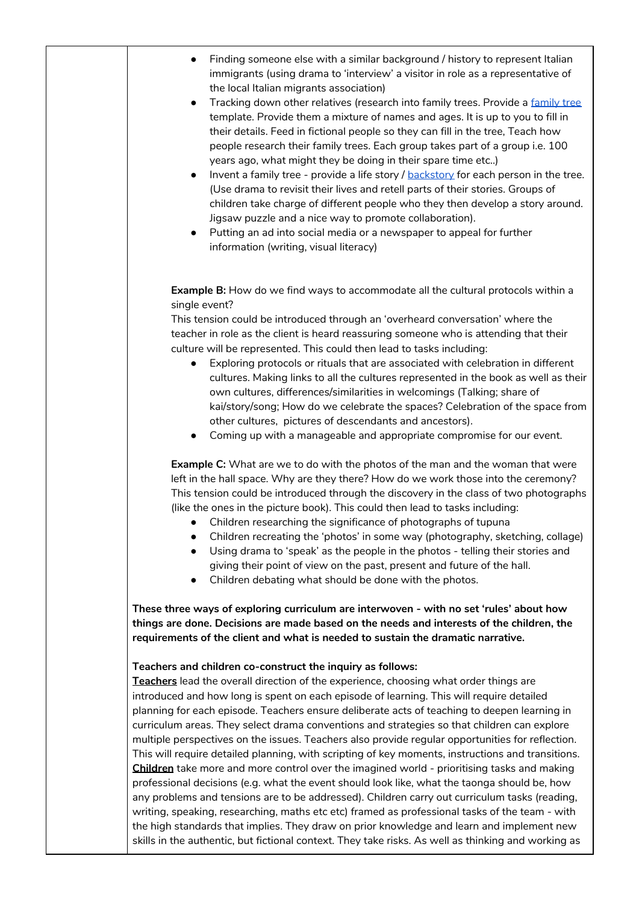- Finding someone else with a similar background / history to represent Italian immigrants (using drama to 'interview' a visitor in role as a representative of the local Italian migrants association)
- Tracking down other relatives (research into [family](https://docs.google.com/presentation/d/1SuyuvH2Ya-YOw0zp2HUfpkQQnw8McXFQDmchSDZ10yI/edit#slide=id.p) trees. Provide a family tree template. Provide them a mixture of names and ages. It is up to you to fill in their details. Feed in fictional people so they can fill in the tree, Teach how people research their family trees. Each group takes part of a group i.e. 100 years ago, what might they be doing in their spare time etc..)
- $\bullet$  Invent a family tree provide a life story /  $backstor$  for each person in the tree. (Use drama to revisit their lives and retell parts of their stories. Groups of children take charge of different people who they then develop a story around. Jigsaw puzzle and a nice way to promote collaboration).
- Putting an ad into social media or a newspaper to appeal for further information (writing, visual literacy)

**Example B:** How do we find ways to accommodate all the cultural protocols within a single event?

This tension could be introduced through an 'overheard conversation' where the teacher in role as the client is heard reassuring someone who is attending that their culture will be represented. This could then lead to tasks including:

- Exploring protocols or rituals that are associated with celebration in different cultures. Making links to all the cultures represented in the book as well as their own cultures, differences/similarities in welcomings (Talking; share of kai/story/song; How do we celebrate the spaces? Celebration of the space from other cultures, pictures of descendants and ancestors).
- Coming up with a manageable and appropriate compromise for our event.

**Example C:** What are we to do with the photos of the man and the woman that were left in the hall space. Why are they there? How do we work those into the ceremony? This tension could be introduced through the discovery in the class of two photographs (like the ones in the picture book). This could then lead to tasks including:

- Children researching the significance of photographs of tupuna
- Children recreating the 'photos' in some way (photography, sketching, collage)
- Using drama to 'speak' as the people in the photos telling their stories and giving their point of view on the past, present and future of the hall.
- Children debating what should be done with the photos.

**These three ways of exploring curriculum are interwoven - with no set 'rules' about how things are done. Decisions are made based on the needs and interests of the children, the requirements of the client and what is needed to sustain the dramatic narrative.**

#### **Teachers and children co-construct the inquiry as follows:**

**Teachers** lead the overall direction of the experience, choosing what order things are introduced and how long is spent on each episode of learning. This will require detailed planning for each episode. Teachers ensure deliberate acts of teaching to deepen learning in curriculum areas. They select drama conventions and strategies so that children can explore multiple perspectives on the issues. Teachers also provide regular opportunities for reflection. This will require detailed planning, with scripting of key moments, instructions and transitions. **Children** take more and more control over the imagined world - prioritising tasks and making professional decisions (e.g. what the event should look like, what the taonga should be, how any problems and tensions are to be addressed). Children carry out curriculum tasks (reading, writing, speaking, researching, maths etc etc) framed as professional tasks of the team - with the high standards that implies. They draw on prior knowledge and learn and implement new skills in the authentic, but fictional context. They take risks. As well as thinking and working as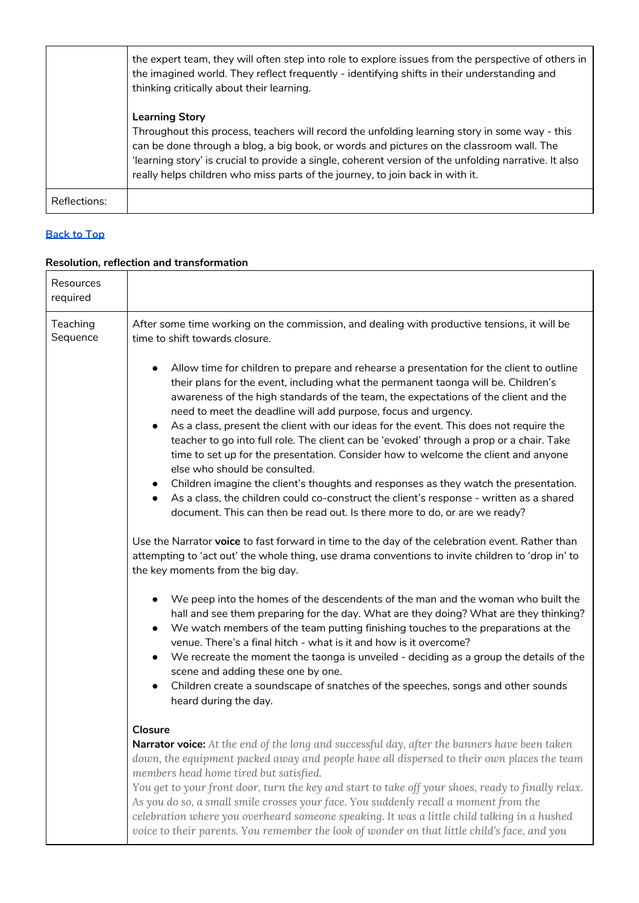|              | the expert team, they will often step into role to explore issues from the perspective of others in<br>the imagined world. They reflect frequently - identifying shifts in their understanding and<br>thinking critically about their learning.                                                                                                                                                             |
|--------------|-------------------------------------------------------------------------------------------------------------------------------------------------------------------------------------------------------------------------------------------------------------------------------------------------------------------------------------------------------------------------------------------------------------|
|              | <b>Learning Story</b><br>Throughout this process, teachers will record the unfolding learning story in some way - this<br>can be done through a blog, a big book, or words and pictures on the classroom wall. The<br>learning story' is crucial to provide a single, coherent version of the unfolding narrative. It also<br>really helps children who miss parts of the journey, to join back in with it. |
| Reflections: |                                                                                                                                                                                                                                                                                                                                                                                                             |

### <span id="page-11-0"></span>**Resolution, reflection and transformation**

| Resources<br>required |                                                                                                                                                                                                                                                                                                                                                                                                                                                                                                                                                                                                                                                                                                                                                                                                                                                                                                                                                                                                                                                                     |  |  |  |
|-----------------------|---------------------------------------------------------------------------------------------------------------------------------------------------------------------------------------------------------------------------------------------------------------------------------------------------------------------------------------------------------------------------------------------------------------------------------------------------------------------------------------------------------------------------------------------------------------------------------------------------------------------------------------------------------------------------------------------------------------------------------------------------------------------------------------------------------------------------------------------------------------------------------------------------------------------------------------------------------------------------------------------------------------------------------------------------------------------|--|--|--|
| Teaching<br>Sequence  | After some time working on the commission, and dealing with productive tensions, it will be<br>time to shift towards closure.<br>Allow time for children to prepare and rehearse a presentation for the client to outline<br>their plans for the event, including what the permanent taonga will be. Children's<br>awareness of the high standards of the team, the expectations of the client and the<br>need to meet the deadline will add purpose, focus and urgency.<br>As a class, present the client with our ideas for the event. This does not require the<br>$\bullet$<br>teacher to go into full role. The client can be 'evoked' through a prop or a chair. Take<br>time to set up for the presentation. Consider how to welcome the client and anyone<br>else who should be consulted.<br>Children imagine the client's thoughts and responses as they watch the presentation.<br>As a class, the children could co-construct the client's response - written as a shared<br>document. This can then be read out. Is there more to do, or are we ready? |  |  |  |
|                       | Use the Narrator voice to fast forward in time to the day of the celebration event. Rather than<br>attempting to 'act out' the whole thing, use drama conventions to invite children to 'drop in' to<br>the key moments from the big day.<br>We peep into the homes of the descendents of the man and the woman who built the<br>$\bullet$<br>hall and see them preparing for the day. What are they doing? What are they thinking?<br>We watch members of the team putting finishing touches to the preparations at the<br>$\bullet$<br>venue. There's a final hitch - what is it and how is it overcome?<br>We recreate the moment the taonga is unveiled - deciding as a group the details of the<br>$\bullet$<br>scene and adding these one by one.<br>Children create a soundscape of snatches of the speeches, songs and other sounds<br>$\bullet$<br>heard during the day.                                                                                                                                                                                   |  |  |  |
|                       | <b>Closure</b><br><b>Narrator voice:</b> At the end of the long and successful day, after the banners have been taken<br>down, the equipment packed away and people have all dispersed to their own places the team<br>members head home tired but satisfied.<br>You get to your front door, turn the key and start to take off your shoes, ready to finally relax.<br>As you do so, a small smile crosses your face. You suddenly recall a moment from the<br>celebration where you overheard someone speaking. It was a little child talking in a hushed<br>voice to their parents. You remember the look of wonder on that little child's face, and you                                                                                                                                                                                                                                                                                                                                                                                                          |  |  |  |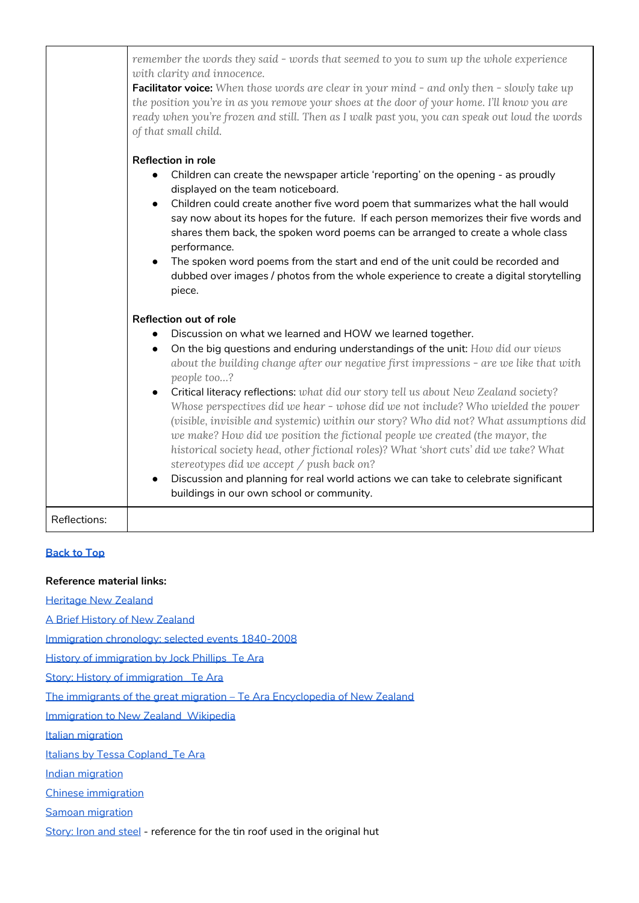|              | remember the words they said - words that seemed to you to sum up the whole experience<br>with clarity and innocence.<br><b>Facilitator voice:</b> When those words are clear in your mind - and only then - slowly take up<br>the position you're in as you remove your shoes at the door of your home. I'll know you are<br>ready when you're frozen and still. Then as I walk past you, you can speak out loud the words<br>of that small child.                                                                                                                                                                                                                                                                                                                                                                                                                                                                                                          |
|--------------|--------------------------------------------------------------------------------------------------------------------------------------------------------------------------------------------------------------------------------------------------------------------------------------------------------------------------------------------------------------------------------------------------------------------------------------------------------------------------------------------------------------------------------------------------------------------------------------------------------------------------------------------------------------------------------------------------------------------------------------------------------------------------------------------------------------------------------------------------------------------------------------------------------------------------------------------------------------|
|              | <b>Reflection in role</b><br>Children can create the newspaper article 'reporting' on the opening - as proudly<br>$\bullet$<br>displayed on the team noticeboard.<br>Children could create another five word poem that summarizes what the hall would<br>say now about its hopes for the future. If each person memorizes their five words and<br>shares them back, the spoken word poems can be arranged to create a whole class<br>performance.<br>The spoken word poems from the start and end of the unit could be recorded and<br>$\bullet$<br>dubbed over images / photos from the whole experience to create a digital storytelling<br>piece.                                                                                                                                                                                                                                                                                                         |
|              | <b>Reflection out of role</b><br>Discussion on what we learned and HOW we learned together.<br>$\bullet$<br>On the big questions and enduring understandings of the unit: How did our views<br>$\bullet$<br>about the building change after our negative first impressions - are we like that with<br>people too?<br>Critical literacy reflections: what did our story tell us about New Zealand society?<br>$\bullet$<br>Whose perspectives did we hear - whose did we not include? Who wielded the power<br>(visible, invisible and systemic) within our story? Who did not? What assumptions did<br>we make? How did we position the fictional people we created (the mayor, the<br>historical society head, other fictional roles)? What 'short cuts' did we take? What<br>stereotypes did we accept / push back on?<br>Discussion and planning for real world actions we can take to celebrate significant<br>buildings in our own school or community. |
| Reflections: |                                                                                                                                                                                                                                                                                                                                                                                                                                                                                                                                                                                                                                                                                                                                                                                                                                                                                                                                                              |

#### <span id="page-12-0"></span>**Reference material links:**

[Heritage](https://www.heritage.org.nz/) New Zealand

A Brief History of New [Zealand](https://www.newzealandnow.govt.nz/living-in-nz/history-government/a-brief-history)

[Immigration](https://www.parliament.nz/en/pb/research-papers/document/00PLSocRP08011/immigration-chronology-selected-events-1840-2008) chronology: selected events 1840-2008

History of [immigration](https://teara.govt.nz/en/history-of-immigration/print) by Jock Phillips\_Te Ara

Story: History of immigration Te Ara

The immigrants of the great migration – Te Ara [Encyclopedia](https://teara.govt.nz/en/history-of-immigration/page-9) of New Zealand

Immigration to New [Zealand\\_Wikipedia](https://en.wikipedia.org/wiki/Immigration_to_New_Zealand#:~:text=Migration%20to%20New%20Zealand%20began,Treaty%20of%20Waitangi%20in%201840.)

Italian [migration](https://teara.govt.nz/en/italians#:~:text=Migration%20was%20most%20successful%20when,based%20on%20family%20and%20work.&text=Tomato%20growers%20from%20Massa%20Lubrense,became%20dairy%20farmers%20in%20Taranaki.)

Italians by Tessa Copland Te Ara

Indian [migration](https://teara.govt.nz/en/indians/page-2#:~:text=Increasing%20numbers,were%20181%2C%20including%2014%20females.)

Chinese [immigration](https://teara.govt.nz/en/chinese/print)

Samoan [migration](https://teara.govt.nz/en/samoans/page-1#:~:text=Despite%20the%20tough%20immigration%20laws,quotas%20for%20entry%20were%20set.)

[Story:](https://teara.govt.nz/en/iron-and-steel/page-5) Iron and steel - reference for the tin roof used in the original hut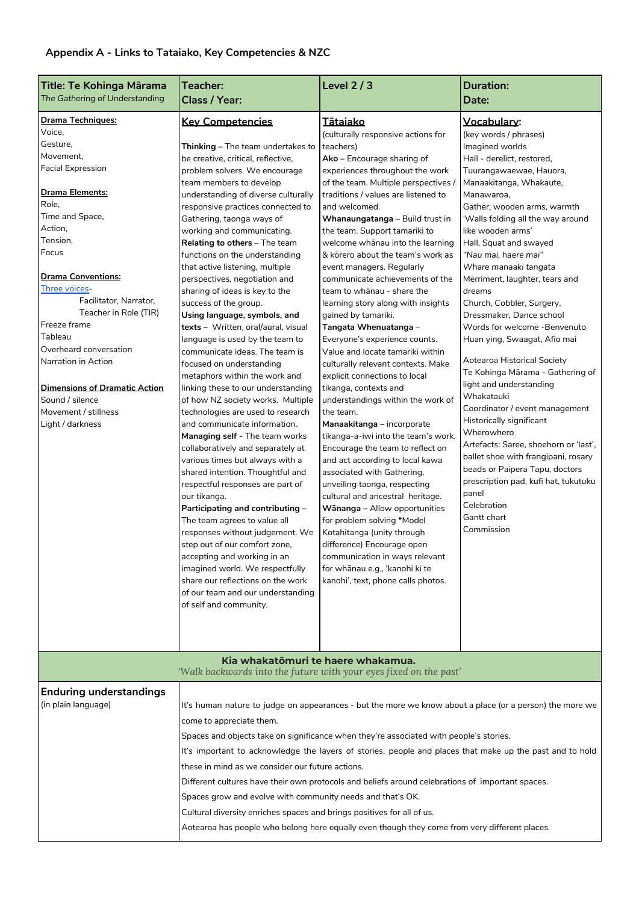#### <span id="page-13-0"></span>**Appendix A - Links to Tataiako, Key Competencies & NZC**

| Title: Te Kohinga Mārama             | Teacher:                                                               | Level $2/3$                                                                                              | <b>Duration:</b>                                                |
|--------------------------------------|------------------------------------------------------------------------|----------------------------------------------------------------------------------------------------------|-----------------------------------------------------------------|
| The Gathering of Understanding       | Class / Year:                                                          |                                                                                                          | Date:                                                           |
|                                      |                                                                        |                                                                                                          |                                                                 |
| <b>Drama Techniques:</b><br>Voice,   | <b>Key Competencies</b>                                                | <u>Tātaiako</u>                                                                                          | Vocabulary:<br>(key words / phrases)                            |
| Gesture,                             | <b>Thinking – The team undertakes to</b>                               | (culturally responsive actions for<br>teachers)                                                          | Imagined worlds                                                 |
| Movement,                            | be creative, critical, reflective,                                     | Ako - Encourage sharing of                                                                               | Hall - derelict, restored,                                      |
| <b>Facial Expression</b>             | problem solvers. We encourage                                          | experiences throughout the work                                                                          | Tuurangawaewae, Hauora,                                         |
|                                      | team members to develop                                                | of the team. Multiple perspectives /                                                                     | Manaakitanga, Whakaute,                                         |
| Drama Elements:                      | understanding of diverse culturally                                    | traditions / values are listened to                                                                      | Manawaroa,                                                      |
| Role,                                | responsive practices connected to                                      | and welcomed.                                                                                            | Gather, wooden arms, warmth                                     |
| Time and Space,                      | Gathering, taonga ways of                                              | Whanaungatanga - Build trust in                                                                          | 'Walls folding all the way around                               |
| Action,                              | working and communicating.                                             | the team. Support tamariki to                                                                            | like wooden arms'                                               |
| Tension,                             | <b>Relating to others</b> – The team                                   | welcome whanau into the learning                                                                         | Hall, Squat and swayed                                          |
| Focus                                | functions on the understanding                                         | & korero about the team's work as                                                                        | "Nau mai, haere mai"                                            |
|                                      | that active listening, multiple                                        | event managers. Regularly                                                                                | Whare manaaki tangata                                           |
| <b>Drama Conventions:</b>            | perspectives, negotiation and                                          | communicate achievements of the                                                                          | Merriment, laughter, tears and                                  |
| Three voices-                        | sharing of ideas is key to the                                         | team to whānau - share the                                                                               | dreams                                                          |
| Facilitator, Narrator,               | success of the group.                                                  | learning story along with insights                                                                       | Church, Cobbler, Surgery,                                       |
| Teacher in Role (TIR)                | Using language, symbols, and                                           | gained by tamariki.                                                                                      | Dressmaker, Dance school                                        |
| Freeze frame                         | texts - Written, oral/aural, visual                                    | Tangata Whenuatanga -                                                                                    | Words for welcome -Benvenuto                                    |
| Tableau                              | language is used by the team to                                        | Everyone's experience counts.                                                                            | Huan ying, Swaagat, Afio mai                                    |
| Overheard conversation               | communicate ideas. The team is                                         | Value and locate tamariki within                                                                         |                                                                 |
| Narration in Action                  | focused on understanding                                               | culturally relevant contexts. Make                                                                       | Aotearoa Historical Society<br>Te Kohinga Mārama - Gathering of |
|                                      | metaphors within the work and                                          | explicit connections to local                                                                            | light and understanding                                         |
| <b>Dimensions of Dramatic Action</b> | linking these to our understanding                                     | tikanga, contexts and                                                                                    | Whakatauki                                                      |
| Sound / silence                      | of how NZ society works. Multiple                                      | understandings within the work of                                                                        | Coordinator / event management                                  |
| Movement / stillness                 | technologies are used to research                                      | the team.                                                                                                | Historically significant                                        |
| Light / darkness                     | and communicate information.                                           | Manaakitanga - incorporate                                                                               | Wherowhero                                                      |
|                                      | Managing self - The team works                                         | tikanga-a-iwi into the team's work.<br>Encourage the team to reflect on                                  | Artefacts: Saree, shoehorn or 'last',                           |
|                                      | collaboratively and separately at<br>various times but always with a   | and act according to local kawa                                                                          | ballet shoe with frangipani, rosary                             |
|                                      | shared intention. Thoughtful and                                       | associated with Gathering,                                                                               | beads or Paipera Tapu, doctors                                  |
|                                      | respectful responses are part of                                       | unveiling taonga, respecting                                                                             | prescription pad, kufi hat, tukutuku                            |
|                                      | our tikanga.                                                           | cultural and ancestral heritage.                                                                         | panel                                                           |
|                                      | Participating and contributing -                                       | Wānanga - Allow opportunities                                                                            | Celebration                                                     |
|                                      | The team agrees to value all                                           | for problem solving *Model                                                                               | Gantt chart                                                     |
|                                      | responses without judgement. We                                        | Kotahitanga (unity through                                                                               | Commission                                                      |
|                                      | step out of our comfort zone,                                          | difference) Encourage open                                                                               |                                                                 |
|                                      | accepting and working in an                                            | communication in ways relevant                                                                           |                                                                 |
|                                      | imagined world. We respectfully                                        | for whānau e.g., 'kanohi ki te                                                                           |                                                                 |
|                                      | share our reflections on the work                                      | kanohi', text, phone calls photos.                                                                       |                                                                 |
|                                      | of our team and our understanding                                      |                                                                                                          |                                                                 |
|                                      | of self and community.                                                 |                                                                                                          |                                                                 |
|                                      |                                                                        |                                                                                                          |                                                                 |
|                                      |                                                                        |                                                                                                          |                                                                 |
|                                      |                                                                        |                                                                                                          |                                                                 |
|                                      |                                                                        | Kia whakatōmuri te haere whakamua.                                                                       |                                                                 |
|                                      |                                                                        | 'Walk backwards into the future with your eyes fixed on the past'                                        |                                                                 |
| <b>Enduring understandings</b>       |                                                                        |                                                                                                          |                                                                 |
| (in plain language)                  |                                                                        | It's human nature to judge on appearances - but the more we know about a place (or a person) the more we |                                                                 |
|                                      | come to appreciate them.                                               |                                                                                                          |                                                                 |
|                                      |                                                                        | Spaces and objects take on significance when they're associated with people's stories.                   |                                                                 |
|                                      |                                                                        | It's important to acknowledge the layers of stories, people and places that make up the past and to hold |                                                                 |
|                                      | these in mind as we consider our future actions.                       |                                                                                                          |                                                                 |
|                                      |                                                                        |                                                                                                          |                                                                 |
|                                      |                                                                        | Different cultures have their own protocols and beliefs around celebrations of important spaces.         |                                                                 |
|                                      | Spaces grow and evolve with community needs and that's OK.             |                                                                                                          |                                                                 |
|                                      | Cultural diversity enriches spaces and brings positives for all of us. |                                                                                                          |                                                                 |
|                                      |                                                                        | Aotearoa has people who belong here equally even though they come from very different places.            |                                                                 |
|                                      |                                                                        |                                                                                                          |                                                                 |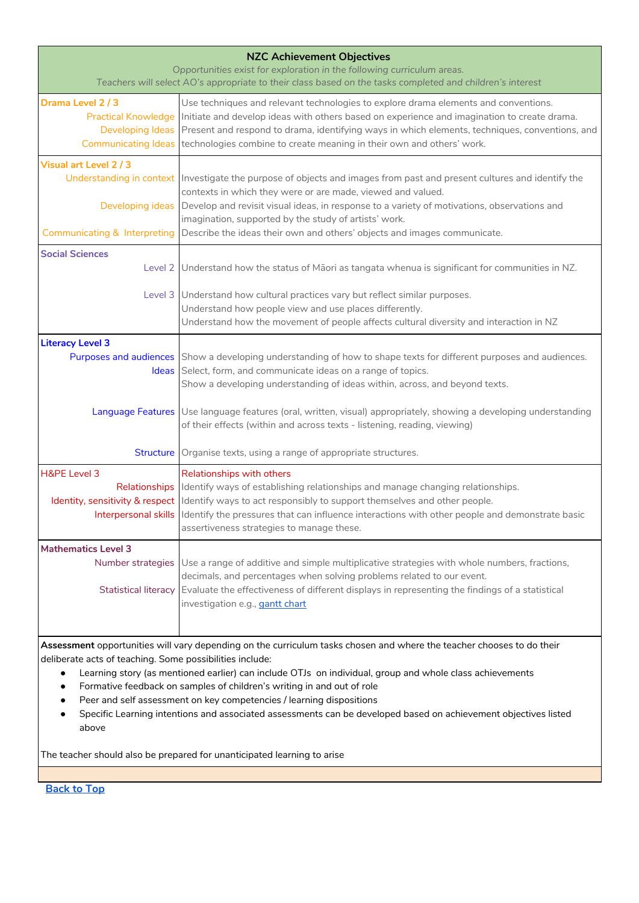| <b>NZC Achievement Objectives</b>                                                                                                                                                   |                                                                                                                                                                                                                                  |  |  |
|-------------------------------------------------------------------------------------------------------------------------------------------------------------------------------------|----------------------------------------------------------------------------------------------------------------------------------------------------------------------------------------------------------------------------------|--|--|
| Opportunities exist for exploration in the following curriculum areas.<br>Teachers will select AO's appropriate to their class based on the tasks completed and children's interest |                                                                                                                                                                                                                                  |  |  |
| Drama Level 2 / 3                                                                                                                                                                   | Use techniques and relevant technologies to explore drama elements and conventions.                                                                                                                                              |  |  |
| <b>Practical Knowledge</b>                                                                                                                                                          | Initiate and develop ideas with others based on experience and imagination to create drama.                                                                                                                                      |  |  |
|                                                                                                                                                                                     | Developing Ideas Present and respond to drama, identifying ways in which elements, techniques, conventions, and<br>Communicating Ideas   technologies combine to create meaning in their own and others' work.                   |  |  |
|                                                                                                                                                                                     |                                                                                                                                                                                                                                  |  |  |
| Visual art Level 2 / 3                                                                                                                                                              | Understanding in context Investigate the purpose of objects and images from past and present cultures and identify the                                                                                                           |  |  |
|                                                                                                                                                                                     | contexts in which they were or are made, viewed and valued.                                                                                                                                                                      |  |  |
| Developing ideas                                                                                                                                                                    | Develop and revisit visual ideas, in response to a variety of motivations, observations and                                                                                                                                      |  |  |
|                                                                                                                                                                                     | imagination, supported by the study of artists' work.                                                                                                                                                                            |  |  |
| <b>Communicating &amp; Interpreting</b>                                                                                                                                             | Describe the ideas their own and others' objects and images communicate.                                                                                                                                                         |  |  |
| <b>Social Sciences</b>                                                                                                                                                              |                                                                                                                                                                                                                                  |  |  |
| Level 2                                                                                                                                                                             | Understand how the status of Maori as tangata whenua is significant for communities in NZ.                                                                                                                                       |  |  |
|                                                                                                                                                                                     | Level 3 Understand how cultural practices vary but reflect similar purposes.                                                                                                                                                     |  |  |
|                                                                                                                                                                                     | Understand how people view and use places differently.                                                                                                                                                                           |  |  |
|                                                                                                                                                                                     | Understand how the movement of people affects cultural diversity and interaction in NZ                                                                                                                                           |  |  |
| <b>Literacy Level 3</b>                                                                                                                                                             |                                                                                                                                                                                                                                  |  |  |
|                                                                                                                                                                                     | Purposes and audiences Show a developing understanding of how to shape texts for different purposes and audiences.<br>Ideas Select, form, and communicate ideas on a range of topics.                                            |  |  |
|                                                                                                                                                                                     | Show a developing understanding of ideas within, across, and beyond texts.                                                                                                                                                       |  |  |
|                                                                                                                                                                                     |                                                                                                                                                                                                                                  |  |  |
| <b>Language Features</b>                                                                                                                                                            | Use language features (oral, written, visual) appropriately, showing a developing understanding                                                                                                                                  |  |  |
|                                                                                                                                                                                     | of their effects (within and across texts - listening, reading, viewing)                                                                                                                                                         |  |  |
| <b>Structure</b>                                                                                                                                                                    | Organise texts, using a range of appropriate structures.                                                                                                                                                                         |  |  |
| H&PE Level 3                                                                                                                                                                        | Relationships with others                                                                                                                                                                                                        |  |  |
| Relationships                                                                                                                                                                       | Identify ways of establishing relationships and manage changing relationships.                                                                                                                                                   |  |  |
|                                                                                                                                                                                     | Identity, sensitivity & respect Identify ways to act responsibly to support themselves and other people.<br>Interpersonal skills I dentify the pressures that can influence interactions with other people and demonstrate basic |  |  |
|                                                                                                                                                                                     | assertiveness strategies to manage these.                                                                                                                                                                                        |  |  |
| <b>Mathematics Level 3</b>                                                                                                                                                          |                                                                                                                                                                                                                                  |  |  |
| Number strategies                                                                                                                                                                   | Use a range of additive and simple multiplicative strategies with whole numbers, fractions,                                                                                                                                      |  |  |
|                                                                                                                                                                                     | decimals, and percentages when solving problems related to our event.                                                                                                                                                            |  |  |
| <b>Statistical literacy</b>                                                                                                                                                         | Evaluate the effectiveness of different displays in representing the findings of a statistical<br>investigation e.g., gantt chart                                                                                                |  |  |
|                                                                                                                                                                                     |                                                                                                                                                                                                                                  |  |  |
|                                                                                                                                                                                     |                                                                                                                                                                                                                                  |  |  |
|                                                                                                                                                                                     | Assessment opportunities will vary depending on the curriculum tasks chosen and where the teacher chooses to do their                                                                                                            |  |  |
| deliberate acts of teaching. Some possibilities include:                                                                                                                            |                                                                                                                                                                                                                                  |  |  |
| ٠<br>$\bullet$                                                                                                                                                                      | Learning story (as mentioned earlier) can include OTJs on individual, group and whole class achievements<br>Formative feedback on samples of children's writing in and out of role                                               |  |  |
| Peer and self assessment on key competencies / learning dispositions<br>٠                                                                                                           |                                                                                                                                                                                                                                  |  |  |
| Specific Learning intentions and associated assessments can be developed based on achievement objectives listed                                                                     |                                                                                                                                                                                                                                  |  |  |
| above                                                                                                                                                                               |                                                                                                                                                                                                                                  |  |  |

The teacher should also be prepared for unanticipated learning to arise

**[Back](#page-0-1) to Top**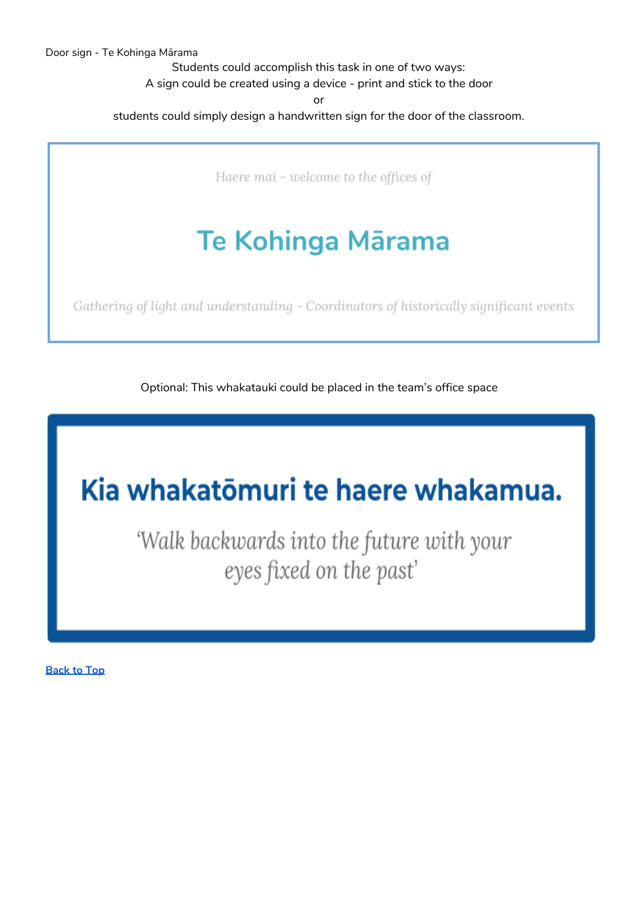Students could accomplish this task in one of two ways: A sign could be created using a device - print and stick to the door

or

<span id="page-15-0"></span>students could simply design a handwritten sign for the door of the classroom.

Haere mai - welcome to the offices of

# Te Kohinga Mārama

Gathering of light and understanding - Coordinators of historically significant events

Optional: This whakatauki could be placed in the team's office space

# Kia whakatōmuri te haere whakamua.

'Walk backwards into the future with your eyes fixed on the past'

**[Back](#page-0-1) to Top**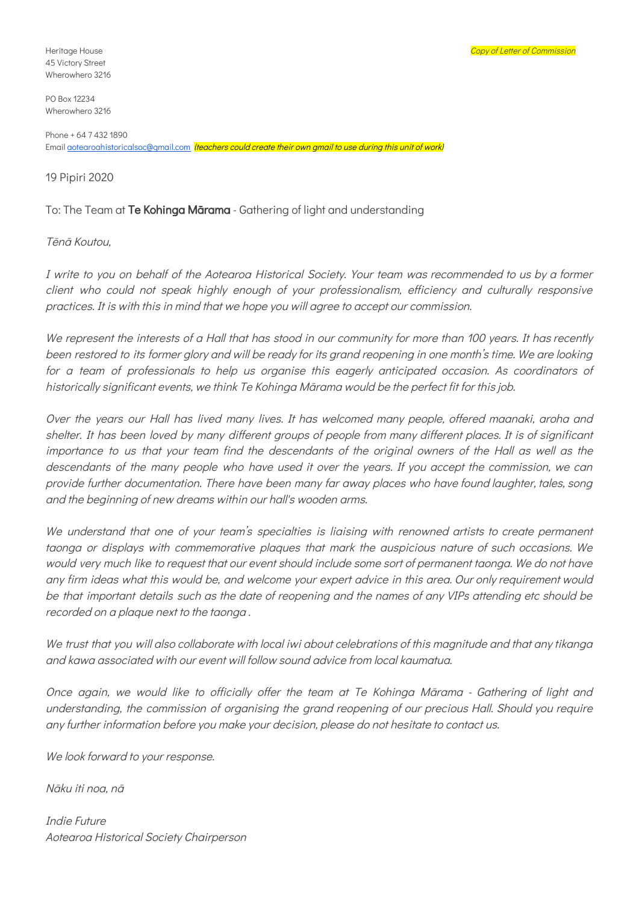<span id="page-16-0"></span>45 Victory Street Wherowhero 3216

PO Box 12234 Wherowhero 3216

Phone + 64 7 432 1890 Email **gotearoahistoricalsoc@gmail.com** (teachers could create their own gmail to use during this unit of work)

19 Pipiri 2020

To: The Team at Te Kohinga Mārama - Gathering of light and understanding

#### Tēnā Koutou,

I write to you on behalf of the Aotearoa Historical Society. Your team was recommended to us by <sup>a</sup> former client who could not speak highly enough of your professionalism, efficiency and culturally responsive practices. It is with this in mind that we hope you will agree to accept our commission.

We represent the interests of a Hall that has stood in our community for more than 100 years. It has recently been restored to its former glory and will be ready for its grand reopening in one month's time. We are looking for <sup>a</sup> team of professionals to help us organise this eagerly anticipated occasion. As coordinators of historically significant events, we think Te Kohinga Mārama would be the perfect fit for this job.

Over the years our Hall has lived many lives. It has welcomed many people, offered maanaki, aroha and shelter. It has been loved by many different groups of people from many different places. It is of significant importance to us that your team find the descendants of the original owners of the Hall as well as the descendants of the many people who have used it over the years. If you accept the commission, we can provide further documentation. There have been many far away places who have found laughter, tales, song and the beginning of new dreams within our hall's wooden arms.

We understand that one of your team's specialties is liaising with renowned artists to create permanent taonga or displays with commemorative plaques that mark the auspicious nature of such occasions. We would very much like to request that our event should include some sort of permanent taonga. We do not have any firm ideas what this would be, and welcome your expert advice in this area. Our only requirement would be that important details such as the date of reopening and the names of any VIPs attending etc should be recorded on <sup>a</sup> plaque next to the taonga .

We trust that you will also collaborate with local iwi about celebrations of this magnitude and that any tikanga and kawa associated with our event will follow sound advice from local kaumatua.

Once again, we would like to officially offer the team at Te Kohinga Mārama - Gathering of light and understanding, the commission of organising the grand reopening of our precious Hall. Should you require any further information before you make your decision, please do not hesitate to contact us.

We look forward to your response.

Nāku iti noa, nā

Indie Future Aotearoa Historical Society Chairperson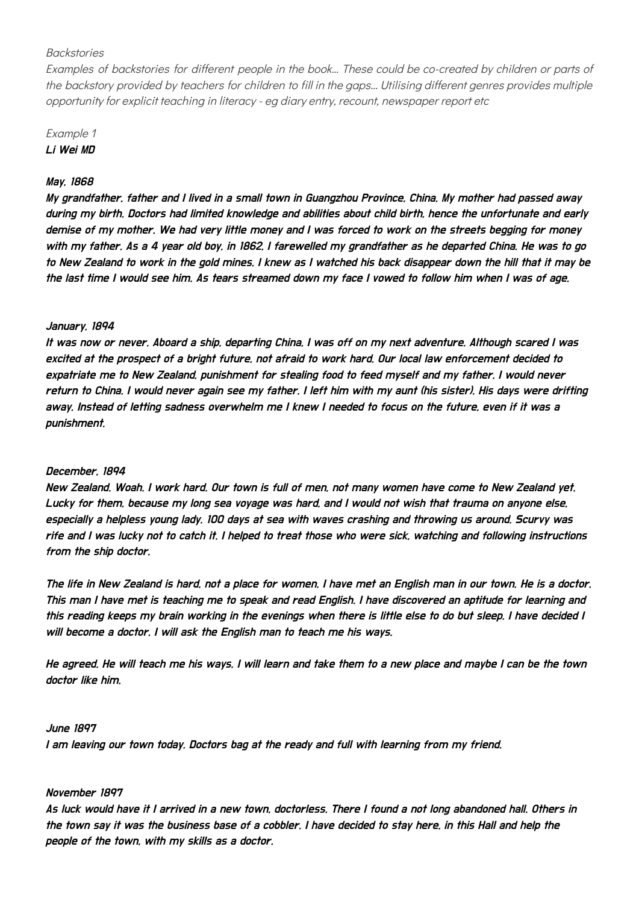#### <span id="page-17-0"></span>**Backstories**

Examples of backstories for different people in the book… These could be co-created by children or parts of the backstory provided by teachers for children to fill in the gaps… Utilising different genres provides multiple opportunity for explicit teaching in literacy - eg diary entry, recount, newspaper report etc

### Example 1 Li Wei MD

#### May, 1868

My grandfather, father and I lived in <sup>a</sup> small town in Guangzhou Province, China. My mother had passed away during my birth. Doctors had limited knowledge and abilities about child birth, hence the unfortunate and early demise of my mother. We had very little money and I was forced to work on the streets begging for money with my father. As <sup>a</sup> 4 year old boy, in 1862, I farewelled my grandfather as he departed China. He was to go to New Zealand to work in the gold mines. I knew as I watched his back disappear down the hill that it may be the last time I would see him. As tears streamed down my face I vowed to follow him when I was of age.

#### January, 1894

It was now or never. Aboard <sup>a</sup> ship, departing China, I was off on my next adventure. Although scared I was excited at the prospect of <sup>a</sup> bright future, not afraid to work hard. Our local law enforcement decided to expatriate me to New Zealand, punishment for stealing food to feed myself and my father. I would never return to China. I would never again see my father. I left him with my aunt (his sister). His days were drifting away. Instead of letting sadness overwhelm me I knew I needed to focus on the future, even if it was <sup>a</sup> punishment.

#### December, 1894

New Zealand. Woah. I work hard. Our town is full of men, not many women have come to New Zealand yet. Lucky for them, because my long sea voyage was hard, and I would not wish that trauma on anyone else, especially <sup>a</sup> helpless young lady. 100 days at sea with waves crashing and throwing us around. Scurvy was rife and I was lucky not to catch it. I helped to treat those who were sick, watching and following instructions from the ship doctor.

The life in New Zealand is hard, not <sup>a</sup> place for women. I have met an English man in our town. He is <sup>a</sup> doctor. This man I have met is teaching me to speak and read English. I have discovered an aptitude for learning and this reading keeps my brain working in the evenings when there is little else to do but sleep. I have decided I will become <sup>a</sup> doctor. I will ask the English man to teach me his ways.

He agreed. He will teach me his ways. I will learn and take them to <sup>a</sup> new place and maybe I can be the town doctor like him.

#### June 1897

I am leaving our town today. Doctors bag at the ready and full with learning from my friend.

#### November 1897

As luck would have it I arrived in <sup>a</sup> new town, doctorless. There I found <sup>a</sup> not long abandoned hall. Others in the town say it was the business base of <sup>a</sup> cobbler. I have decided to stay here, in this Hall and help the people of the town, with my skills as <sup>a</sup> doctor.